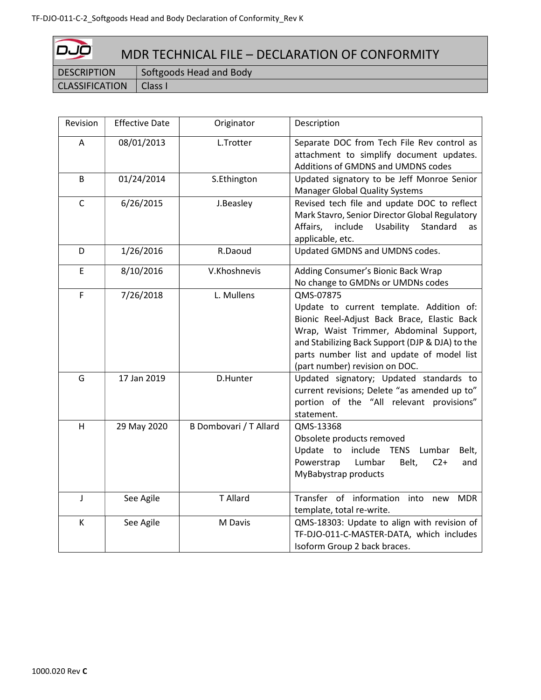| ص ص<br>MDR TECHNICAL FILE - DECLARATION OF CONFORMITY |                         |  |
|-------------------------------------------------------|-------------------------|--|
| <b>DESCRIPTION</b>                                    | Softgoods Head and Body |  |
| <b>CLASSIFICATION</b>                                 | Class I                 |  |

| Revision     | <b>Effective Date</b> | Originator             | Description                                                                                                                                                                                                                                                                        |
|--------------|-----------------------|------------------------|------------------------------------------------------------------------------------------------------------------------------------------------------------------------------------------------------------------------------------------------------------------------------------|
| A            | 08/01/2013            | L.Trotter              | Separate DOC from Tech File Rev control as<br>attachment to simplify document updates.<br>Additions of GMDNS and UMDNS codes                                                                                                                                                       |
| B            | 01/24/2014            | S.Ethington            | Updated signatory to be Jeff Monroe Senior<br>Manager Global Quality Systems                                                                                                                                                                                                       |
| $\mathsf{C}$ | 6/26/2015             | J.Beasley              | Revised tech file and update DOC to reflect<br>Mark Stavro, Senior Director Global Regulatory<br>Affairs,<br>include<br>Usability<br>Standard<br>as<br>applicable, etc.                                                                                                            |
| D            | 1/26/2016             | R.Daoud                | Updated GMDNS and UMDNS codes.                                                                                                                                                                                                                                                     |
| E            | 8/10/2016             | V.Khoshnevis           | Adding Consumer's Bionic Back Wrap<br>No change to GMDNs or UMDNs codes                                                                                                                                                                                                            |
| F            | 7/26/2018             | L. Mullens             | QMS-07875<br>Update to current template. Addition of:<br>Bionic Reel-Adjust Back Brace, Elastic Back<br>Wrap, Waist Trimmer, Abdominal Support,<br>and Stabilizing Back Support (DJP & DJA) to the<br>parts number list and update of model list<br>(part number) revision on DOC. |
| G            | 17 Jan 2019           | D.Hunter               | Updated signatory; Updated standards to<br>current revisions; Delete "as amended up to"<br>portion of the "All relevant provisions"<br>statement.                                                                                                                                  |
| H            | 29 May 2020           | B Dombovari / T Allard | QMS-13368<br>Obsolete products removed<br>Update to<br>include TENS Lumbar<br>Belt,<br>Powerstrap<br>Lumbar<br>$C2+$<br>Belt,<br>and<br>MyBabystrap products                                                                                                                       |
| J            | See Agile             | T Allard               | Transfer of information into<br><b>MDR</b><br>new<br>template, total re-write.                                                                                                                                                                                                     |
| K            | See Agile             | M Davis                | QMS-18303: Update to align with revision of<br>TF-DJO-011-C-MASTER-DATA, which includes<br>Isoform Group 2 back braces.                                                                                                                                                            |